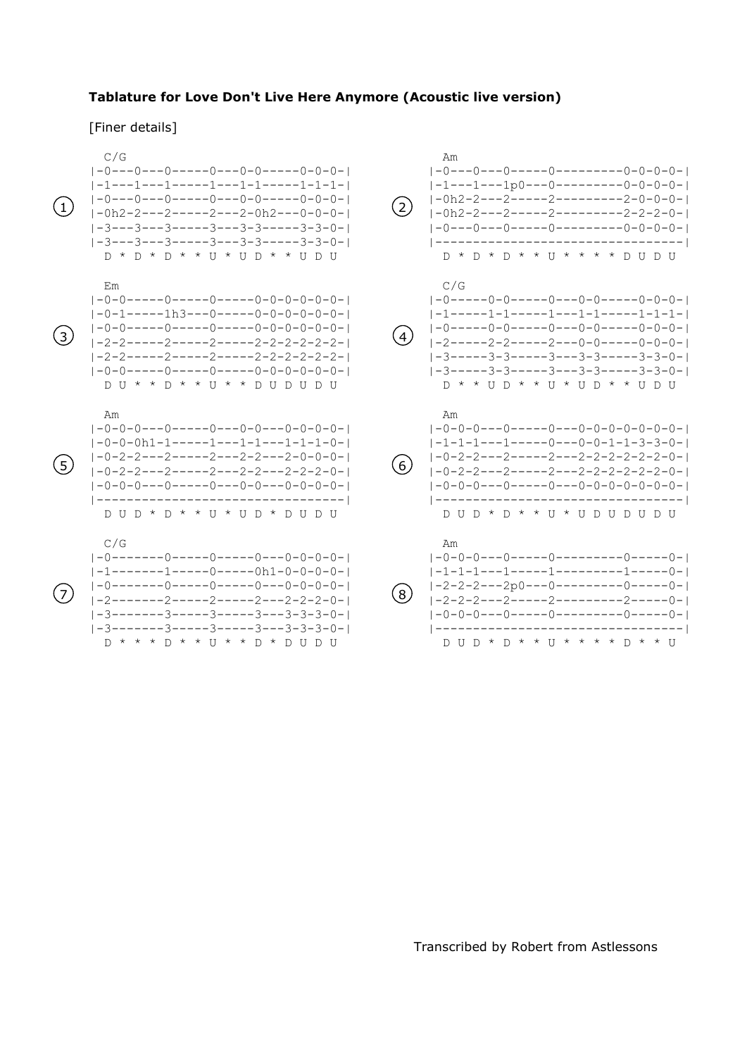## **Tablature for Love Don't Live Here Anymore (Acoustic live version)**

## [Finer details]